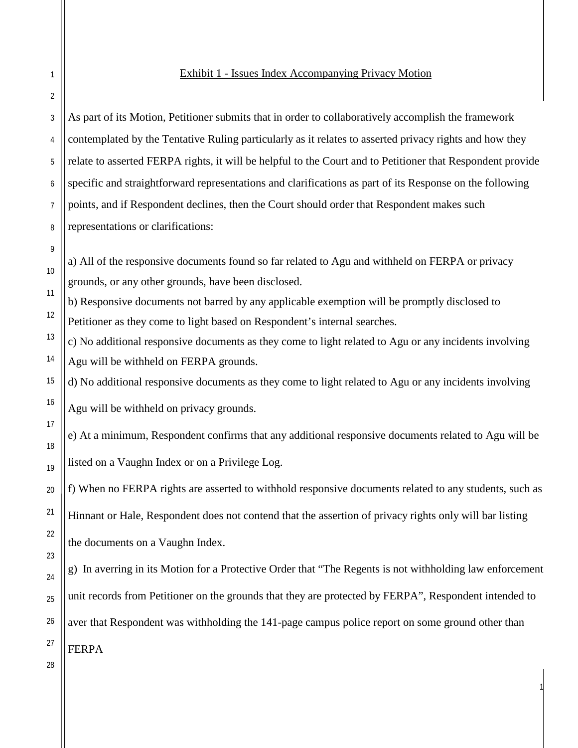## Exhibit 1 - Issues Index Accompanying Privacy Motion

As part of its Motion, Petitioner submits that in order to collaboratively accomplish the framework contemplated by the Tentative Ruling particularly as it relates to asserted privacy rights and how they relate to asserted FERPA rights, it will be helpful to the Court and to Petitioner that Respondent provide specific and straightforward representations and clarifications as part of its Response on the following points, and if Respondent declines, then the Court should order that Respondent makes such representations or clarifications:

a) All of the responsive documents found so far related to Agu and withheld on FERPA or privacy grounds, or any other grounds, have been disclosed.

b) Responsive documents not barred by any applicable exemption will be promptly disclosed to Petitioner as they come to light based on Respondent's internal searches.

c) No additional responsive documents as they come to light related to Agu or any incidents involving Agu will be withheld on FERPA grounds.

d) No additional responsive documents as they come to light related to Agu or any incidents involving

Agu will be withheld on privacy grounds.

e) At a minimum, Respondent confirms that any additional responsive documents related to Agu will be listed on a Vaughn Index or on a Privilege Log.

f) When no FERPA rights are asserted to withhold responsive documents related to any students, such as Hinnant or Hale, Respondent does not contend that the assertion of privacy rights only will bar listing the documents on a Vaughn Index.

g) In averring in its Motion for a Protective Order that "The Regents is not withholding law enforcement unit records from Petitioner on the grounds that they are protected by FERPA", Respondent intended to aver that Respondent was withholding the 141-page campus police report on some ground other than FERPA

1

1

2

3

4

5

6

7

8

9

10

11

12

13

14

15

16

17

18

19

20

21

22

28